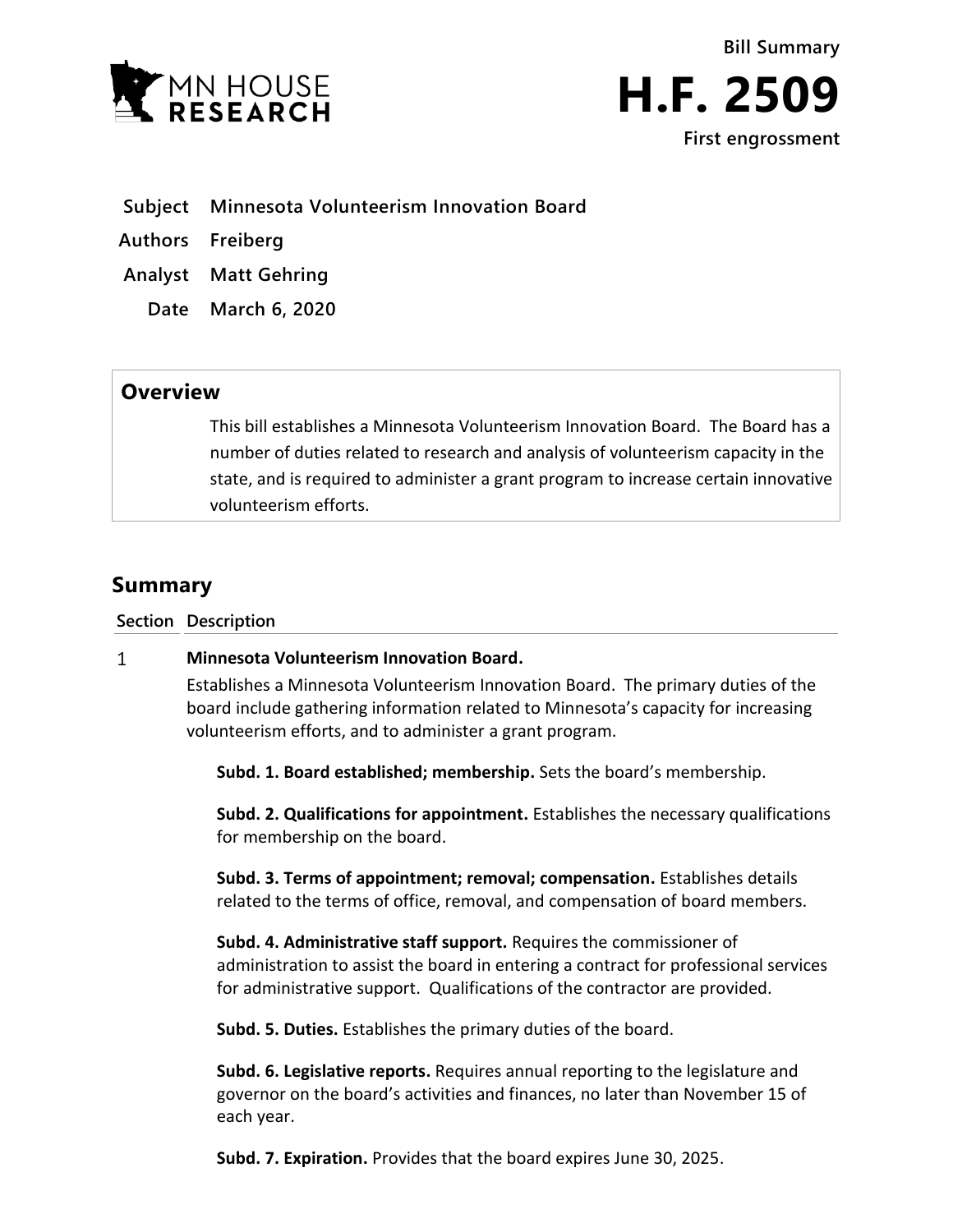



- **Subject Minnesota Volunteerism Innovation Board**
- **Authors Freiberg**
- **Analyst Matt Gehring**
	- **Date March 6, 2020**

## **Overview**

This bill establishes a Minnesota Volunteerism Innovation Board. The Board has a number of duties related to research and analysis of volunteerism capacity in the state, and is required to administer a grant program to increase certain innovative volunteerism efforts.

# **Summary**

**Section Description**

#### $\mathbf{1}$ **Minnesota Volunteerism Innovation Board.**

Establishes a Minnesota Volunteerism Innovation Board. The primary duties of the board include gathering information related to Minnesota's capacity for increasing volunteerism efforts, and to administer a grant program.

**Subd. 1. Board established; membership.** Sets the board's membership.

**Subd. 2. Qualifications for appointment.** Establishes the necessary qualifications for membership on the board.

**Subd. 3. Terms of appointment; removal; compensation.** Establishes details related to the terms of office, removal, and compensation of board members.

**Subd. 4. Administrative staff support.** Requires the commissioner of administration to assist the board in entering a contract for professional services for administrative support. Qualifications of the contractor are provided.

**Subd. 5. Duties.** Establishes the primary duties of the board.

**Subd. 6. Legislative reports.** Requires annual reporting to the legislature and governor on the board's activities and finances, no later than November 15 of each year.

**Subd. 7. Expiration.** Provides that the board expires June 30, 2025.